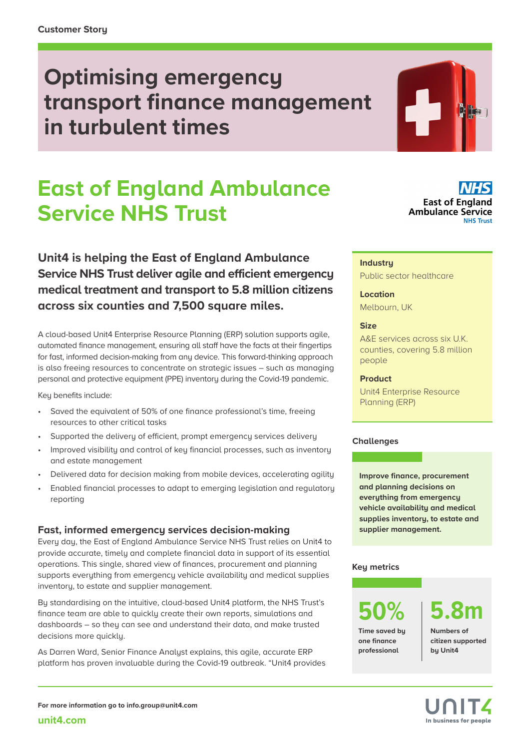## **Optimising emergency transport finance management in turbulent times**

# **East of England Ambulance Service NHS Trust**

**Unit4 is helping the East of England Ambulance Service NHS Trust deliver agile and efficient emergency medical treatment and transport to 5.8 million citizens across six counties and 7,500 square miles.**

A cloud-based Unit4 Enterprise Resource Planning (ERP) solution supports agile, automated finance management, ensuring all staff have the facts at their fingertips for fast, informed decision-making from any device. This forward-thinking approach is also freeing resources to concentrate on strategic issues – such as managing personal and protective equipment (PPE) inventory during the Covid-19 pandemic.

Key benefits include:

- Saved the equivalent of 50% of one finance professional's time, freeing resources to other critical tasks
- Supported the delivery of efficient, prompt emergency services delivery
- Improved visibility and control of key financial processes, such as inventory and estate management
- Delivered data for decision making from mobile devices, accelerating agility
- Enabled financial processes to adapt to emerging legislation and regulatory reporting

### **Fast, informed emergency services decision-making**

Every day, the East of England Ambulance Service NHS Trust relies on Unit4 to provide accurate, timely and complete financial data in support of its essential operations. This single, shared view of finances, procurement and planning supports everything from emergency vehicle availability and medical supplies inventory, to estate and supplier management.

By standardising on the intuitive, cloud-based Unit4 platform, the NHS Trust's finance team are able to quickly create their own reports, simulations and dashboards – so they can see and understand their data, and make trusted decisions more quickly.

As Darren Ward, Senior Finance Analyst explains, this agile, accurate ERP platform has proven invaluable during the Covid-19 outbreak. "Unit4 provides



#### **Industry**

Public sector healthcare

#### **Location**

Melbourn, UK

#### **Size**

A&E services across six U.K. counties, covering 5.8 million people

#### **Product**

Unit4 Enterprise Resource Planning (ERP)

#### **Challenges**

**Improve finance, procurement and planning decisions on everything from emergency vehicle availability and medical supplies inventory, to estate and supplier management.** 

### **Key metrics**

**Time saved by one finance professional**

**50% 5.8m**

**Numbers of citizen supported by Unit4**

**[unit4.com](http://www.unit4.com)**